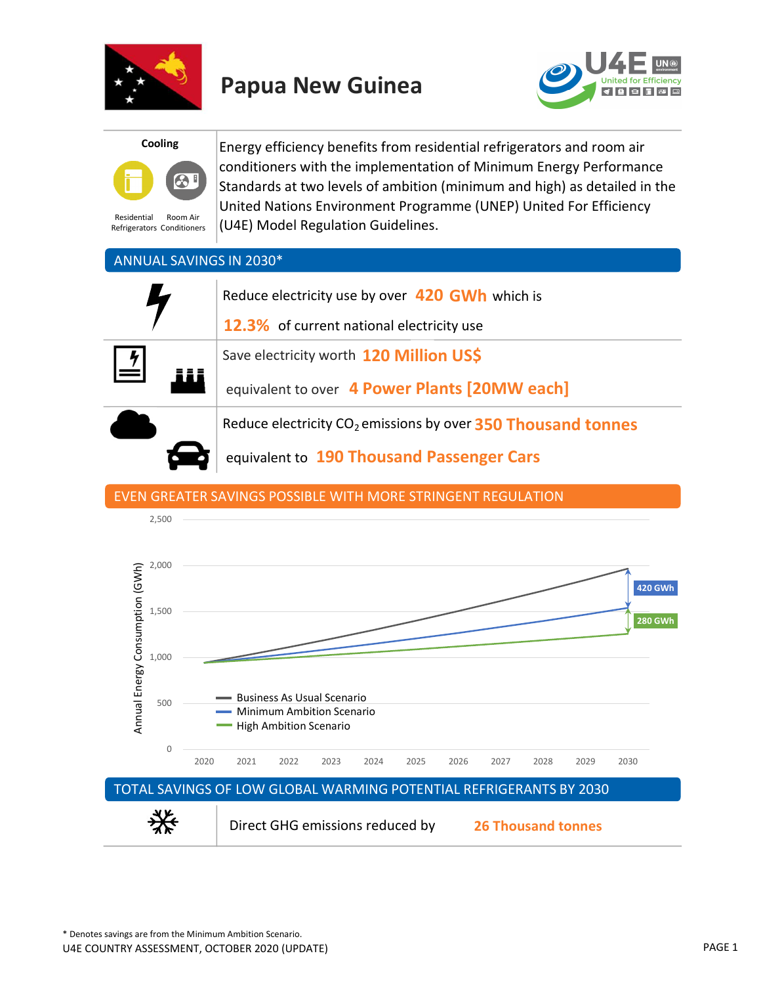





Residential Refrigerators Conditioners Room Air

Energy efficiency benefits from residential refrigerators and room air conditioners with the implementation of Minimum Energy Performance Standards at two levels of ambition (minimum and high) as detailed in the United Nations Environment Programme (UNEP) United For Efficiency (U4E) Model Regulation Guidelines.

## ANNUAL SAVINGS IN 2030\*

|                         | Reduce electricity use by over 420 GWh which is<br><b>12.3%</b> of current national electricity use |
|-------------------------|-----------------------------------------------------------------------------------------------------|
| $\overline{\mathbf{r}}$ | Save electricity worth 120 Million US\$                                                             |
|                         | equivalent to over 4 Power Plants [20MW each]                                                       |
|                         | Reduce electricity CO <sub>2</sub> emissions by over 350 Thousand tonnes                            |

equivalent to 190 Thousand Passenger Cars

### EVEN GREATER SAVINGS POSSIBLE WITH MORE STRINGENT REGULATION

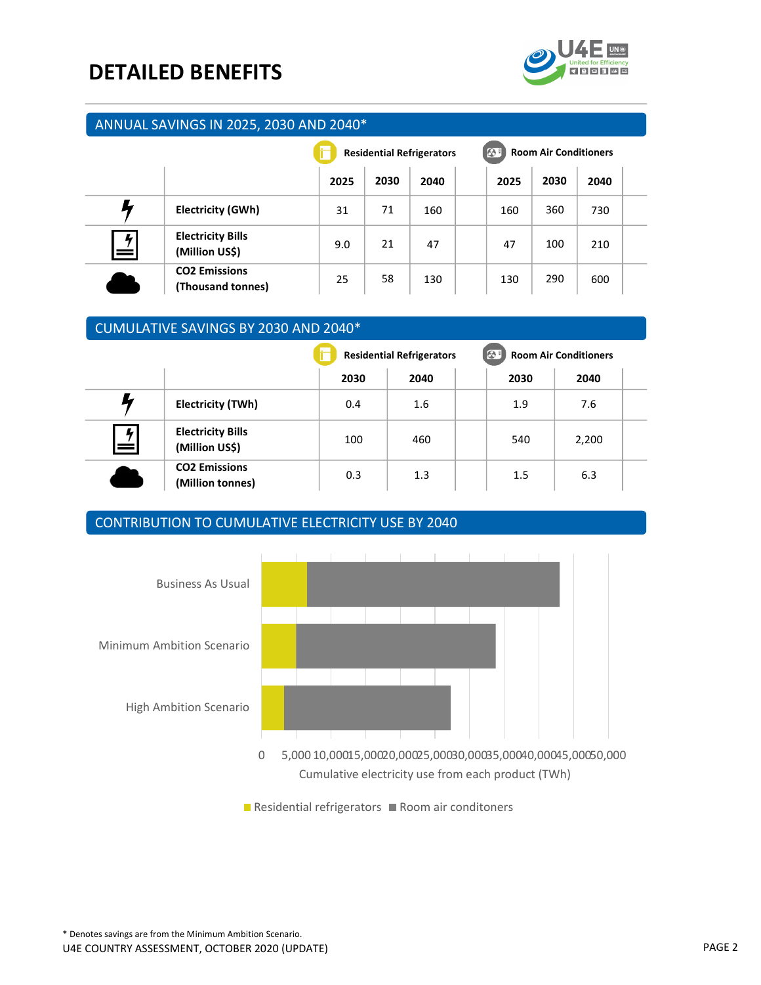## DETAILED BENEFITS



#### ANNUAL SAVINGS IN 2025, 2030 AND 2040\*

|                           |                                            | <b>Residential Refrigerators</b> |      |      | $\Theta$<br><b>Room Air Conditioners</b> |      |      |  |
|---------------------------|--------------------------------------------|----------------------------------|------|------|------------------------------------------|------|------|--|
|                           |                                            | 2025                             | 2030 | 2040 | 2025                                     | 2030 | 2040 |  |
|                           | <b>Electricity (GWh)</b>                   | 31                               | 71   | 160  | 160                                      | 360  | 730  |  |
| $\frac{1}{\sqrt{2}}$<br>= | <b>Electricity Bills</b><br>(Million US\$) | 9.0                              | 21   | 47   | 47                                       | 100  | 210  |  |
|                           | <b>CO2 Emissions</b><br>(Thousand tonnes)  | 25                               | 58   | 130  | 130                                      | 290  | 600  |  |

### CUMULATIVE SAVINGS BY 2030 AND 2040\*

|        |                                            | <b>Residential Refrigerators</b> |      |  | $\bigcirc$<br><b>Room Air Conditioners</b> |       |  |
|--------|--------------------------------------------|----------------------------------|------|--|--------------------------------------------|-------|--|
|        |                                            | 2030                             | 2040 |  | 2030                                       | 2040  |  |
|        | Electricity (TWh)                          | 0.4                              | 1.6  |  | 1.9                                        | 7.6   |  |
| 4<br>= | <b>Electricity Bills</b><br>(Million US\$) | 100                              | 460  |  | 540                                        | 2,200 |  |
|        | <b>CO2 Emissions</b><br>(Million tonnes)   | 0.3                              | 1.3  |  | 1.5                                        | 6.3   |  |

### CONTRIBUTION TO CUMULATIVE ELECTRICITY USE BY 2040



Cumulative electricity use from each product (TWh)

 $\blacksquare$  Residential refrigerators  $\blacksquare$  Room air conditoners